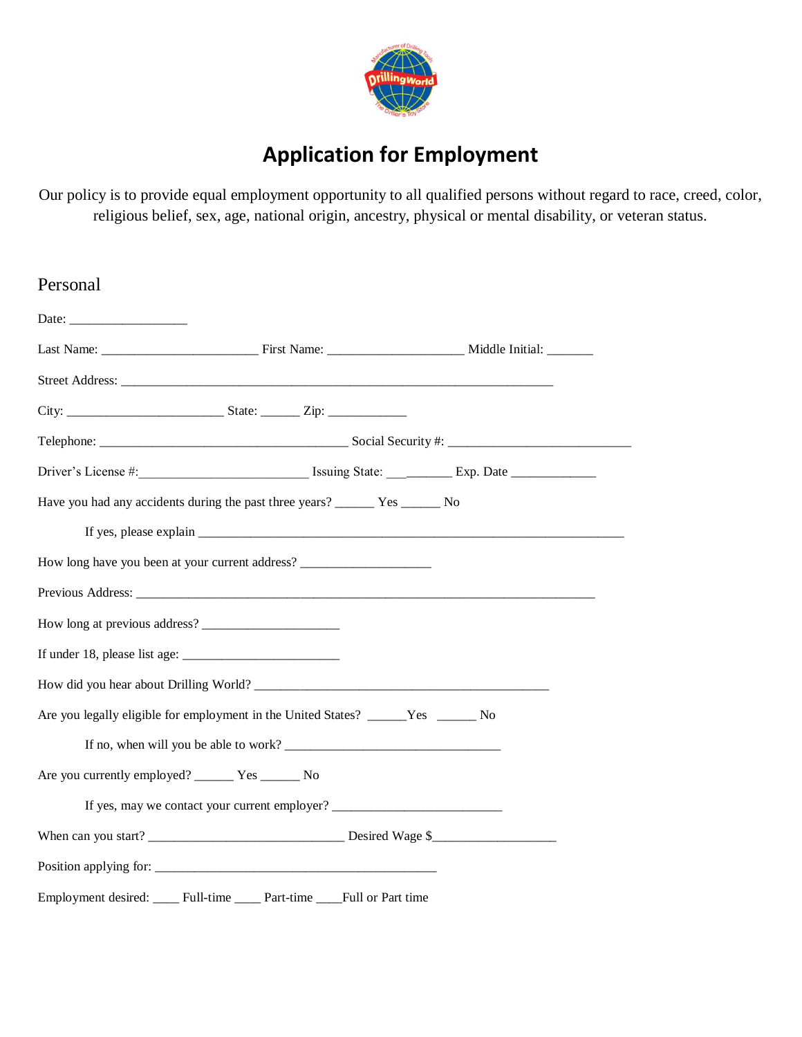

## **Application for Employment**

Our policy is to provide equal employment opportunity to all qualified persons without regard to race, creed, color, religious belief, sex, age, national origin, ancestry, physical or mental disability, or veteran status.

| Personal                                                                          |                                                                                  |  |  |  |
|-----------------------------------------------------------------------------------|----------------------------------------------------------------------------------|--|--|--|
|                                                                                   |                                                                                  |  |  |  |
|                                                                                   |                                                                                  |  |  |  |
|                                                                                   |                                                                                  |  |  |  |
|                                                                                   |                                                                                  |  |  |  |
|                                                                                   |                                                                                  |  |  |  |
|                                                                                   |                                                                                  |  |  |  |
|                                                                                   |                                                                                  |  |  |  |
|                                                                                   |                                                                                  |  |  |  |
| How long have you been at your current address? _________________________________ |                                                                                  |  |  |  |
|                                                                                   |                                                                                  |  |  |  |
| How long at previous address?                                                     |                                                                                  |  |  |  |
|                                                                                   |                                                                                  |  |  |  |
| How did you hear about Drilling World?                                            |                                                                                  |  |  |  |
| Are you legally eligible for employment in the United States? ______Yes _______No |                                                                                  |  |  |  |
| If no, when will you be able to work?                                             |                                                                                  |  |  |  |
| Are you currently employed? ________ Yes ________ No                              |                                                                                  |  |  |  |
|                                                                                   | If yes, may we contact your current employer? __________________________________ |  |  |  |
|                                                                                   |                                                                                  |  |  |  |
| Position applying for:                                                            |                                                                                  |  |  |  |
| Employment desired:                                                               | Full-time ______ Part-time _____Full or Part time                                |  |  |  |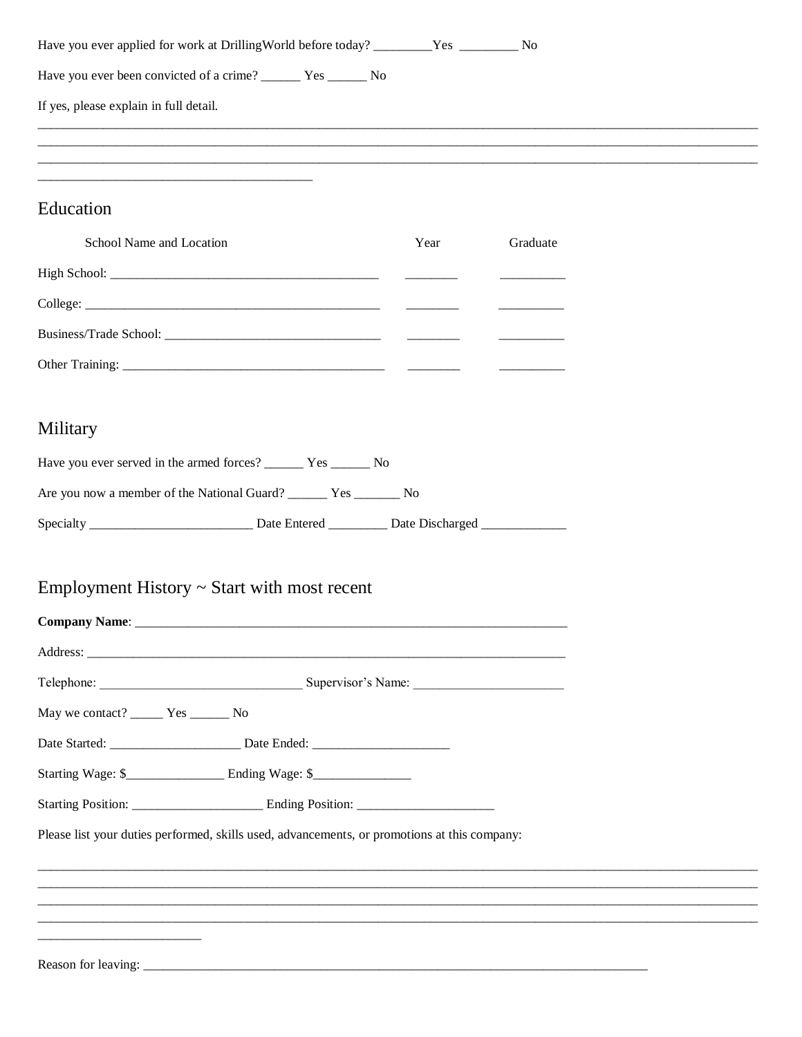| Have you ever been convicted of a crime? _________ Yes ________ No                                                                                                                                                                             |  |  |
|------------------------------------------------------------------------------------------------------------------------------------------------------------------------------------------------------------------------------------------------|--|--|
| If yes, please explain in full detail.                                                                                                                                                                                                         |  |  |
| <u> 1989 - Johann Stoff, deutscher Stoff, der Stoff, der Stoff, der Stoff, der Stoff, der Stoff, der Stoff, der S</u><br><u> 1989 - Johann Stoff, deutscher Stoff, der Stoff, der Stoff, der Stoff, der Stoff, der Stoff, der Stoff, der S</u> |  |  |
| <u> 1980 - Jan James James Barnett, fransk politik (d. 1980)</u>                                                                                                                                                                               |  |  |
| Education                                                                                                                                                                                                                                      |  |  |
| School Name and Location<br>Graduate<br>Year                                                                                                                                                                                                   |  |  |
|                                                                                                                                                                                                                                                |  |  |
|                                                                                                                                                                                                                                                |  |  |
|                                                                                                                                                                                                                                                |  |  |
|                                                                                                                                                                                                                                                |  |  |
|                                                                                                                                                                                                                                                |  |  |
| Military                                                                                                                                                                                                                                       |  |  |
| Have you ever served in the armed forces? ________ Yes _______ No                                                                                                                                                                              |  |  |
| Are you now a member of the National Guard? ______ Yes ______ No                                                                                                                                                                               |  |  |
|                                                                                                                                                                                                                                                |  |  |
|                                                                                                                                                                                                                                                |  |  |
| Employment History $\sim$ Start with most recent                                                                                                                                                                                               |  |  |
|                                                                                                                                                                                                                                                |  |  |
|                                                                                                                                                                                                                                                |  |  |
|                                                                                                                                                                                                                                                |  |  |
| May we contact? _______ Yes _______ No                                                                                                                                                                                                         |  |  |
|                                                                                                                                                                                                                                                |  |  |
|                                                                                                                                                                                                                                                |  |  |
|                                                                                                                                                                                                                                                |  |  |
| Please list your duties performed, skills used, advancements, or promotions at this company:                                                                                                                                                   |  |  |
| ,我们的人们就会在这里,我们的人们就会在这里,我们的人们就会在这里,我们的人们就会在这里,我们的人们就会在这里,我们的人们就会在这里,我们的人们就会在这里,我们                                                                                                                                                               |  |  |
|                                                                                                                                                                                                                                                |  |  |
|                                                                                                                                                                                                                                                |  |  |
|                                                                                                                                                                                                                                                |  |  |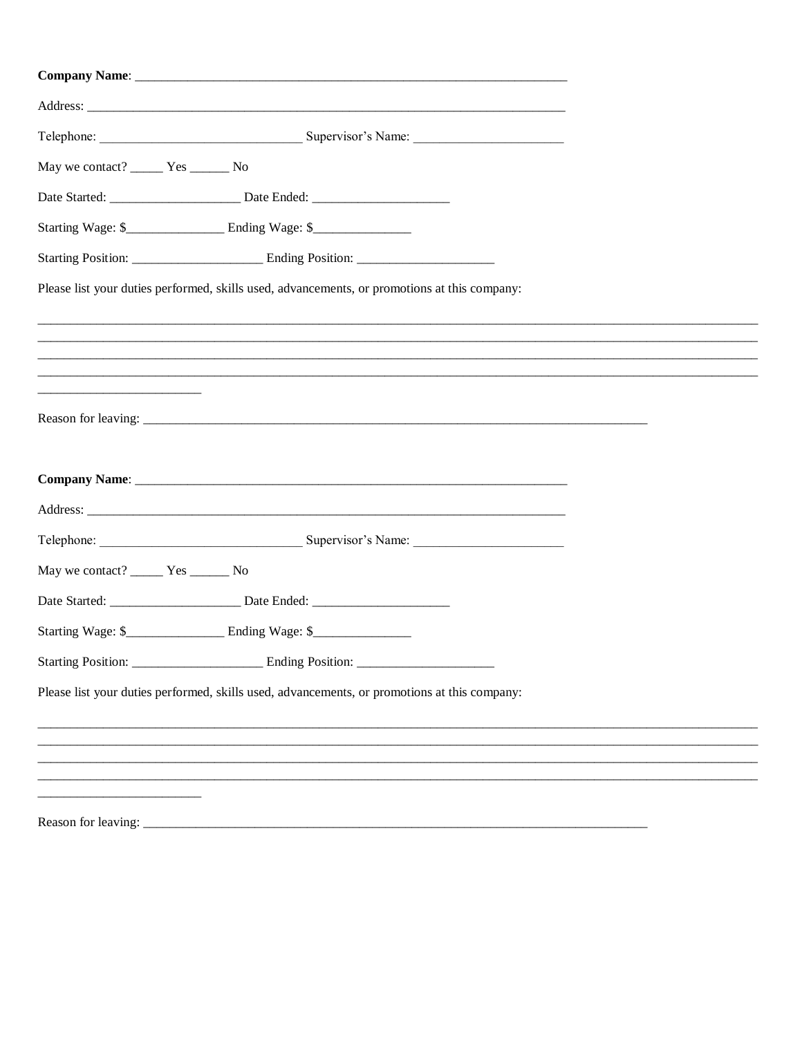| May we contact? _______ Yes _______ No                                                       |                                                                                              |  |  |
|----------------------------------------------------------------------------------------------|----------------------------------------------------------------------------------------------|--|--|
|                                                                                              |                                                                                              |  |  |
|                                                                                              | Starting Wage: \$__________________________ Ending Wage: \$_______________________           |  |  |
|                                                                                              |                                                                                              |  |  |
|                                                                                              | Please list your duties performed, skills used, advancements, or promotions at this company: |  |  |
|                                                                                              |                                                                                              |  |  |
|                                                                                              | ,我们的人们就会在这里,我们的人们都会在这里,我们的人们都会在这里,我们的人们都会在这里,我们的人们就会在这里,我们的人们就会在这里,我们的人们就会在这里,我们             |  |  |
|                                                                                              |                                                                                              |  |  |
|                                                                                              |                                                                                              |  |  |
|                                                                                              |                                                                                              |  |  |
|                                                                                              |                                                                                              |  |  |
|                                                                                              |                                                                                              |  |  |
|                                                                                              |                                                                                              |  |  |
|                                                                                              |                                                                                              |  |  |
| May we contact? ________ Yes _________ No                                                    |                                                                                              |  |  |
|                                                                                              |                                                                                              |  |  |
|                                                                                              |                                                                                              |  |  |
|                                                                                              |                                                                                              |  |  |
| Please list your duties performed, skills used, advancements, or promotions at this company: |                                                                                              |  |  |
|                                                                                              |                                                                                              |  |  |
|                                                                                              |                                                                                              |  |  |
|                                                                                              |                                                                                              |  |  |
|                                                                                              |                                                                                              |  |  |